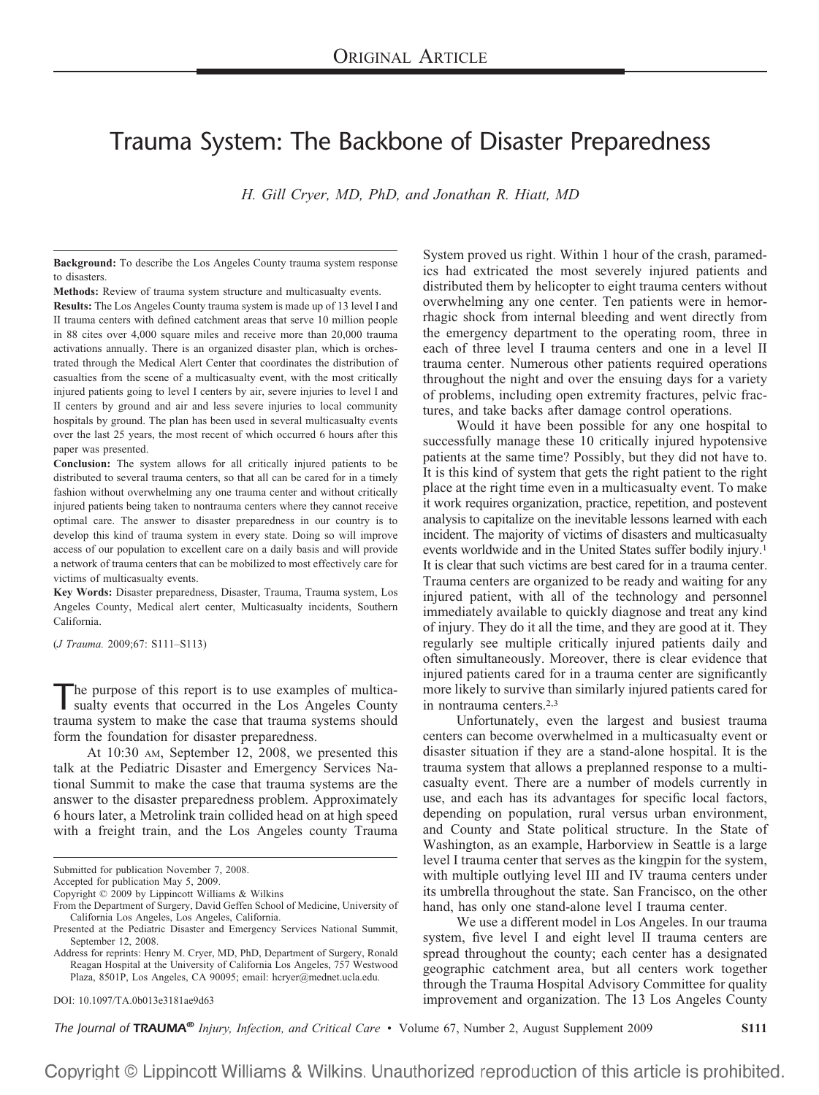# Trauma System: The Backbone of Disaster Preparedness

*H. Gill Cryer, MD, PhD, and Jonathan R. Hiatt, MD*

System proved us right. Within 1 hour of the crash, paramedics had extricated the most severely injured patients and distributed them by helicopter to eight trauma centers without overwhelming any one center. Ten patients were in hemorrhagic shock from internal bleeding and went directly from the emergency department to the operating room, three in each of three level I trauma centers and one in a level II trauma center. Numerous other patients required operations throughout the night and over the ensuing days for a variety of problems, including open extremity fractures, pelvic fractures, and take backs after damage control operations.

Would it have been possible for any one hospital to successfully manage these 10 critically injured hypotensive patients at the same time? Possibly, but they did not have to. It is this kind of system that gets the right patient to the right place at the right time even in a multicasualty event. To make it work requires organization, practice, repetition, and postevent analysis to capitalize on the inevitable lessons learned with each incident. The majority of victims of disasters and multicasualty events worldwide and in the United States suffer bodily injury.<sup>1</sup> It is clear that such victims are best cared for in a trauma center. Trauma centers are organized to be ready and waiting for any injured patient, with all of the technology and personnel immediately available to quickly diagnose and treat any kind of injury. They do it all the time, and they are good at it. They regularly see multiple critically injured patients daily and often simultaneously. Moreover, there is clear evidence that injured patients cared for in a trauma center are significantly more likely to survive than similarly injured patients cared for

Unfortunately, even the largest and busiest trauma centers can become overwhelmed in a multicasualty event or disaster situation if they are a stand-alone hospital. It is the trauma system that allows a preplanned response to a multicasualty event. There are a number of models currently in use, and each has its advantages for specific local factors, depending on population, rural versus urban environment, and County and State political structure. In the State of Washington, as an example, Harborview in Seattle is a large level I trauma center that serves as the kingpin for the system, with multiple outlying level III and IV trauma centers under its umbrella throughout the state. San Francisco, on the other hand, has only one stand-alone level I trauma center.

We use a different model in Los Angeles. In our trauma system, five level I and eight level II trauma centers are spread throughout the county; each center has a designated geographic catchment area, but all centers work together through the Trauma Hospital Advisory Committee for quality improvement and organization. The 13 Los Angeles County

**Background:** To describe the Los Angeles County trauma system response to disasters.

**Methods:** Review of trauma system structure and multicasualty events.

**Results:** The Los Angeles County trauma system is made up of 13 level I and II trauma centers with defined catchment areas that serve 10 million people in 88 cites over 4,000 square miles and receive more than 20,000 trauma activations annually. There is an organized disaster plan, which is orchestrated through the Medical Alert Center that coordinates the distribution of casualties from the scene of a multicasualty event, with the most critically injured patients going to level I centers by air, severe injuries to level I and II centers by ground and air and less severe injuries to local community hospitals by ground. The plan has been used in several multicasualty events over the last 25 years, the most recent of which occurred 6 hours after this paper was presented.

**Conclusion:** The system allows for all critically injured patients to be distributed to several trauma centers, so that all can be cared for in a timely fashion without overwhelming any one trauma center and without critically injured patients being taken to nontrauma centers where they cannot receive optimal care. The answer to disaster preparedness in our country is to develop this kind of trauma system in every state. Doing so will improve access of our population to excellent care on a daily basis and will provide a network of trauma centers that can be mobilized to most effectively care for victims of multicasualty events.

**Key Words:** Disaster preparedness, Disaster, Trauma, Trauma system, Los Angeles County, Medical alert center, Multicasualty incidents, Southern California.

(*J Trauma.* 2009;67: S111–S113)

The purpose of this report is to use examples of multica-<br>sualty events that occurred in the Los Angeles County trauma system to make the case that trauma systems should form the foundation for disaster preparedness.

At 10:30 AM, September 12, 2008, we presented this talk at the Pediatric Disaster and Emergency Services National Summit to make the case that trauma systems are the answer to the disaster preparedness problem. Approximately 6 hours later, a Metrolink train collided head on at high speed with a freight train, and the Los Angeles county Trauma

Address for reprints: Henry M. Cryer, MD, PhD, Department of Surgery, Ronald Reagan Hospital at the University of California Los Angeles, 757 Westwood Plaza, 8501P, Los Angeles, CA 90095; email: hcryer@mednet.ucla.edu.

DOI: 10.1097/TA.0b013e3181ae9d63

*The Journal of TRAUMA® Injury, Infection, and Critical Care* • Volume 67, Number 2, August Supplement 2009 **S111**

Copyright © Lippincott Williams & Wilkins. Unauthorized reproduction of this article is prohibited.

in nontrauma centers.2,3

Submitted for publication November 7, 2008.

Accepted for publication May 5, 2009.

Copyright © 2009 by Lippincott Williams & Wilkins

From the Department of Surgery, David Geffen School of Medicine, University of California Los Angeles, Los Angeles, California.

Presented at the Pediatric Disaster and Emergency Services National Summit, September 12, 2008.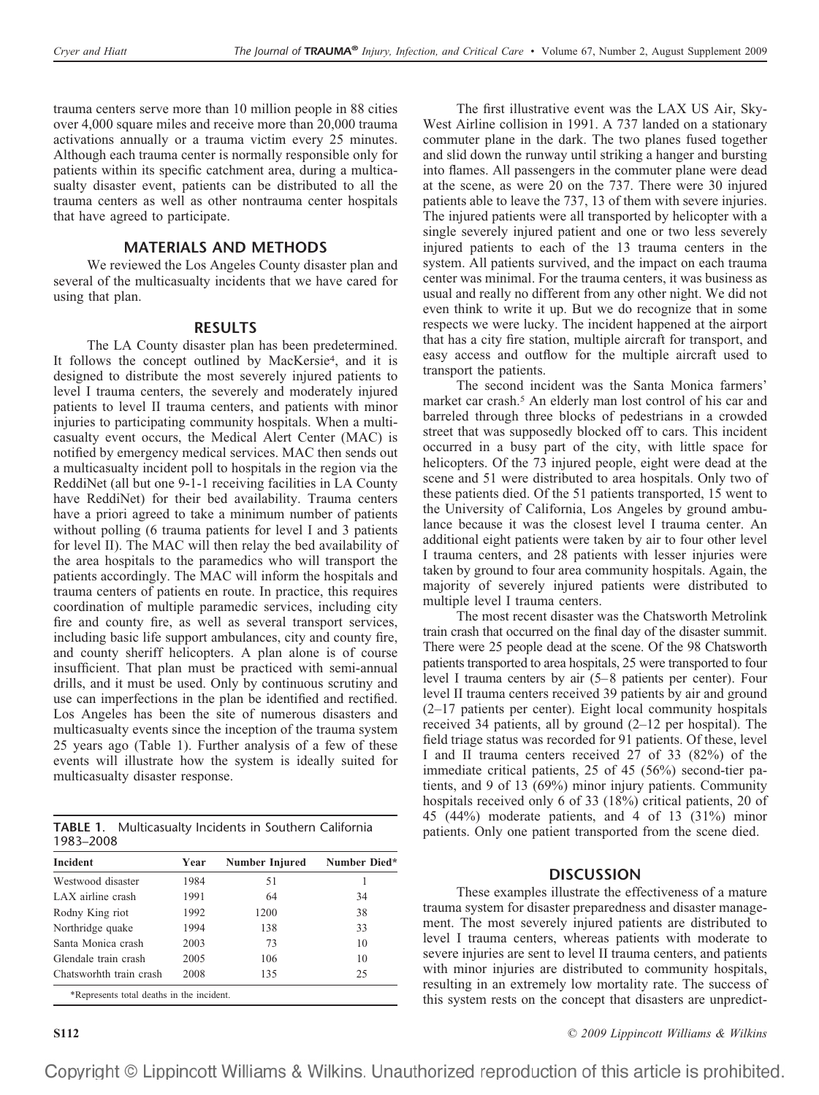trauma centers serve more than 10 million people in 88 cities over 4,000 square miles and receive more than 20,000 trauma activations annually or a trauma victim every 25 minutes. Although each trauma center is normally responsible only for patients within its specific catchment area, during a multicasualty disaster event, patients can be distributed to all the trauma centers as well as other nontrauma center hospitals that have agreed to participate.

## **MATERIALS AND METHODS**

We reviewed the Los Angeles County disaster plan and several of the multicasualty incidents that we have cared for using that plan.

## **RESULTS**

The LA County disaster plan has been predetermined. It follows the concept outlined by MacKersie4, and it is designed to distribute the most severely injured patients to level I trauma centers, the severely and moderately injured patients to level II trauma centers, and patients with minor injuries to participating community hospitals. When a multicasualty event occurs, the Medical Alert Center (MAC) is notified by emergency medical services. MAC then sends out a multicasualty incident poll to hospitals in the region via the ReddiNet (all but one 9-1-1 receiving facilities in LA County have ReddiNet) for their bed availability. Trauma centers have a priori agreed to take a minimum number of patients without polling (6 trauma patients for level I and 3 patients for level II). The MAC will then relay the bed availability of the area hospitals to the paramedics who will transport the patients accordingly. The MAC will inform the hospitals and trauma centers of patients en route. In practice, this requires coordination of multiple paramedic services, including city fire and county fire, as well as several transport services, including basic life support ambulances, city and county fire, and county sheriff helicopters. A plan alone is of course insufficient. That plan must be practiced with semi-annual drills, and it must be used. Only by continuous scrutiny and use can imperfections in the plan be identified and rectified. Los Angeles has been the site of numerous disasters and multicasualty events since the inception of the trauma system 25 years ago (Table 1). Further analysis of a few of these events will illustrate how the system is ideally suited for multicasualty disaster response.

|           |  | TABLE 1. Multicasualty Incidents in Southern California |  |
|-----------|--|---------------------------------------------------------|--|
| 1983–2008 |  |                                                         |  |

| Incident                                  | Year | Number Injured | Number Died* |
|-------------------------------------------|------|----------------|--------------|
| Westwood disaster                         | 1984 | 51             |              |
| LAX airline crash                         | 1991 | 64             | 34           |
| Rodny King riot                           | 1992 | 1200           | 38           |
| Northridge quake                          | 1994 | 138            | 33           |
| Santa Monica crash                        | 2003 | 73             | 10           |
| Glendale train crash                      | 2005 | 106            | 10           |
| Chatsworhth train crash                   | 2008 | 135            | 25           |
| *Represents total deaths in the incident. |      |                |              |

The first illustrative event was the LAX US Air, Sky-West Airline collision in 1991. A 737 landed on a stationary commuter plane in the dark. The two planes fused together and slid down the runway until striking a hanger and bursting into flames. All passengers in the commuter plane were dead at the scene, as were 20 on the 737. There were 30 injured patients able to leave the 737, 13 of them with severe injuries. The injured patients were all transported by helicopter with a single severely injured patient and one or two less severely injured patients to each of the 13 trauma centers in the system. All patients survived, and the impact on each trauma center was minimal. For the trauma centers, it was business as usual and really no different from any other night. We did not even think to write it up. But we do recognize that in some respects we were lucky. The incident happened at the airport that has a city fire station, multiple aircraft for transport, and easy access and outflow for the multiple aircraft used to transport the patients.

The second incident was the Santa Monica farmers' market car crash.<sup>5</sup> An elderly man lost control of his car and barreled through three blocks of pedestrians in a crowded street that was supposedly blocked off to cars. This incident occurred in a busy part of the city, with little space for helicopters. Of the 73 injured people, eight were dead at the scene and 51 were distributed to area hospitals. Only two of these patients died. Of the 51 patients transported, 15 went to the University of California, Los Angeles by ground ambulance because it was the closest level I trauma center. An additional eight patients were taken by air to four other level I trauma centers, and 28 patients with lesser injuries were taken by ground to four area community hospitals. Again, the majority of severely injured patients were distributed to multiple level I trauma centers.

The most recent disaster was the Chatsworth Metrolink train crash that occurred on the final day of the disaster summit. There were 25 people dead at the scene. Of the 98 Chatsworth patients transported to area hospitals, 25 were transported to four level I trauma centers by air  $(5-8)$  patients per center). Four level II trauma centers received 39 patients by air and ground (2–17 patients per center). Eight local community hospitals received 34 patients, all by ground (2–12 per hospital). The field triage status was recorded for 91 patients. Of these, level I and II trauma centers received 27 of 33 (82%) of the immediate critical patients, 25 of 45 (56%) second-tier patients, and 9 of 13 (69%) minor injury patients. Community hospitals received only 6 of 33 (18%) critical patients, 20 of 45 (44%) moderate patients, and 4 of 13 (31%) minor patients. Only one patient transported from the scene died.

## **DISCUSSION**

These examples illustrate the effectiveness of a mature trauma system for disaster preparedness and disaster management. The most severely injured patients are distributed to level I trauma centers, whereas patients with moderate to severe injuries are sent to level II trauma centers, and patients with minor injuries are distributed to community hospitals, resulting in an extremely low mortality rate. The success of this system rests on the concept that disasters are unpredict-

**S112** *© 2009 Lippincott Williams & Wilkins*

Copyright © Lippincott Williams & Wilkins. Unauthorized reproduction of this article is prohibited.